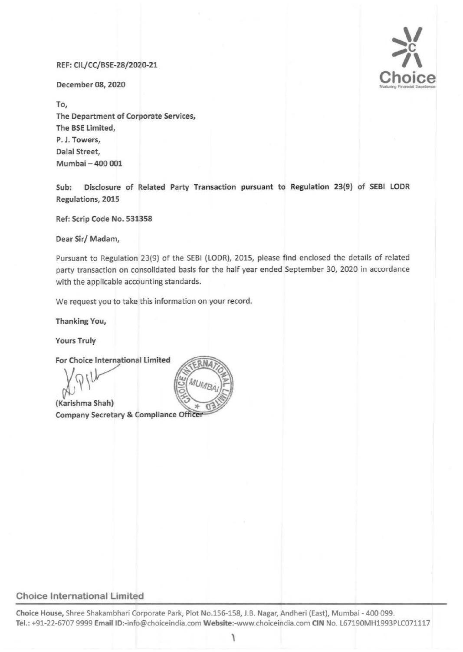### REF: CIL/CC/BSE-28/2020-21

December 08, 2020

To, The Department of Corporate Services, The BSE Limited, P. J. Towers, Dalal Street, Mumbai- 400 001



Sub: Disclosure of Related Party Transaction pursuant to Regulation 23(9) of SEBI LODR Regulations, 2015

Ref: Scrip Code No. 531358

Dear Sir/ Madam,

Pursuant to Regulation 23(9) of the SEBI (LODR), 2015, please find enclosed the details of related party transaction on consolidated basis for the half year ended September 30, 2020 in accordance with the applicable accounting standards.

We request you to take this information on your record.

Thanking You,

Yours Truly

For Choice International Limited

 $X,Y$ 

(Karishma Shah) Company Secretary & Compliance Officer

### Choice International Limited

Choice House, Shree Shakambhari Corporate Park, Plot No.lSG-158, J.B. Nagar, Andheri (East), Mumbai - 400 099. Tel.: +91-22-6707 9999 Email ID:-info@choiceindia.com Website:-www.choiceindia.com CIN No. L67190MH1993PLC071117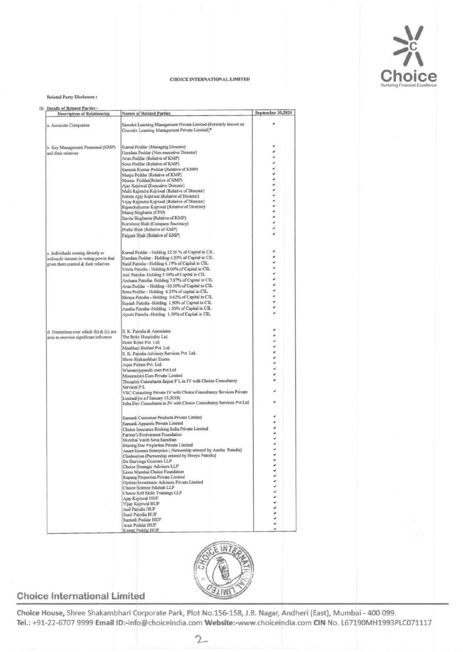

#### CHOICE INTERNATIONAL LIMITED

#### Related Party Disclosure:

| (i) Details of Related Parties -<br><b>Description of Relationship</b>           | <b>Names of Related Parties</b>                                                                             | September 30,2020 |
|----------------------------------------------------------------------------------|-------------------------------------------------------------------------------------------------------------|-------------------|
| a. Associate Companies                                                           | Samekit Learning Management Private Limited (Formerly known as                                              |                   |
|                                                                                  | Gravotix Learning Management Private Limited)*                                                              |                   |
|                                                                                  | Kamal Poddar (Managing Director)                                                                            |                   |
| b. Key Management Personnel (KMP)<br>and their relatives                         | Hemlata Poddar (Non-executive Director)                                                                     |                   |
|                                                                                  | Arun Poddar (Relative of KMP)                                                                               |                   |
|                                                                                  | Sonu Poddar (Relative of KMP)                                                                               |                   |
|                                                                                  | Santosh Kumar Poddar (Relative of KMP)                                                                      |                   |
|                                                                                  | Manju Poddar (Relative of KMP)                                                                              |                   |
|                                                                                  | Meenu Poddar(Relative of KMP)                                                                               |                   |
|                                                                                  | Ajay Kejriwal (Execuitve Director)<br>Malti Rajendra Kejriwal (Relative of Director)                        | 133311            |
|                                                                                  | Babita Ajay Kejriwal (Relative of Director)                                                                 |                   |
|                                                                                  | Vijay Rajendra Kejriwal (Relative of Director)                                                              |                   |
|                                                                                  | Rajendrakumar Kejriwal (Relative of Director)                                                               |                   |
|                                                                                  | Manoj Singhania (CFO)                                                                                       |                   |
|                                                                                  | Savita Singhania (Relative of KMP)<br>Karishma Shah (Company Secretary)                                     |                   |
|                                                                                  | Praful Shah (Relative of KMP)                                                                               |                   |
|                                                                                  | Falguni Shah (Relative of KMP)                                                                              |                   |
|                                                                                  |                                                                                                             |                   |
| c. Individuals owning directly or                                                | Kamal Poddar - Holding 12.50 % of Capital in CIL.                                                           |                   |
| indirectly interest in voting power that<br>gives them control & their relatives | Hemlata Poddar - Holding 4.25% of Capital in CIL<br>Sunil Patodia - Holding 6.19% of Capital in CIL.        |                   |
|                                                                                  | Vinita Patodia - Holding 8.06% of Capital in CIL                                                            |                   |
|                                                                                  | Anil Patodia- Holding 5.50% of Capital in CIL.                                                              |                   |
|                                                                                  | Archana Patodia-Holding 7.87% of Capital in CIL                                                             |                   |
|                                                                                  | Arun Poddar - Holding -10.50% of Capital in CIL.                                                            |                   |
|                                                                                  | Sonu Poddar - Holding 6.25% of capital in CIL.                                                              |                   |
|                                                                                  | Shreya Patodia - Holding 0.62% of Capital in CIL                                                            |                   |
|                                                                                  | Suyash Patodia -Holding 1.50% of Capital in CIL<br>Aastha Patodia -Holding 1.50% of Capital in CIL.         |                   |
|                                                                                  | Ayush Patodia -Holding 1.50% of Capital in CIL.                                                             |                   |
| d. Enterprises over which (b) & (c) are                                          | S. K. Patodia & Associates                                                                                  |                   |
| able to exercise significant influence                                           | The Byke Hospitality Ltd.                                                                                   |                   |
|                                                                                  | Hotel Relax Pvt. Ltd.                                                                                       |                   |
|                                                                                  | Manbhari Biofuel Pvt. Ltd.                                                                                  |                   |
|                                                                                  | S. K. Patodia Advisory Services Pvt. Ltd.                                                                   |                   |
|                                                                                  | Shree Shakambhari Exims                                                                                     |                   |
|                                                                                  | Aqua Pumps Pvt. Ltd.<br>Wheresmypandit.com Pvt Ltd                                                          |                   |
|                                                                                  | Motormistri.Com Private Limited                                                                             |                   |
|                                                                                  | Thoughts Consultants Jaipur P L in JV with Choice Consultancy<br>Services PL                                |                   |
|                                                                                  | VSC Consulting Private JV with Choice Consultancy Services Private<br>Limited (w.e.f January 15,2018)       |                   |
|                                                                                  | Infra Dev Consultants in JV with Choice Consultancy Services Pvt Ltd                                        |                   |
|                                                                                  | Samank Consumer Products Private Limited                                                                    |                   |
|                                                                                  | Samank Apparels Private Limited                                                                             |                   |
|                                                                                  | Choice Insurance Broking India Private Limited                                                              |                   |
|                                                                                  | Farmer's Evolvement Foundation                                                                              |                   |
|                                                                                  | Mumbai Vaish Seva Sansthan                                                                                  |                   |
|                                                                                  | Blazing Star Properties Private Limited<br>Anant Incense Enterprise (Partnership entered by Aastha Patodia) |                   |
|                                                                                  | Closhoerize (Partnership entered by Shreya Patodia)                                                         |                   |
|                                                                                  | De Starvings Couriers LLP                                                                                   |                   |
|                                                                                  | Choice Strategic Advisors LLP                                                                               |                   |
|                                                                                  | Lions Mumbai Choice Foundation<br>Rupang Properties Private Limited                                         |                   |
|                                                                                  | Optimo Investment Advisors Private Limited                                                                  |                   |
|                                                                                  | Choice Science Eduhub LLP                                                                                   |                   |
|                                                                                  | Choice Soft Skills Trainings LLP                                                                            |                   |
|                                                                                  |                                                                                                             |                   |
|                                                                                  | Ajay Keyriwal HUF                                                                                           |                   |
|                                                                                  | Vijay Kejriwal HUF                                                                                          |                   |
|                                                                                  | Anil Patodia HUF                                                                                            |                   |
|                                                                                  | Sunil Patodia HUF<br>Santosh Poddar HUF                                                                     | 1111111111        |



### **Choice International Limited**

Choice House, Shree Shakambhari Corporate Park, Plot No.156-158, J.B. Nagar, Andheri (East), Mumbai - 400 099. Tel.: +91-22-6707 9999 Email ID:-info@choiceindia.com Website:-www.choiceindia.com CIN No. L67190MH1993PLC071117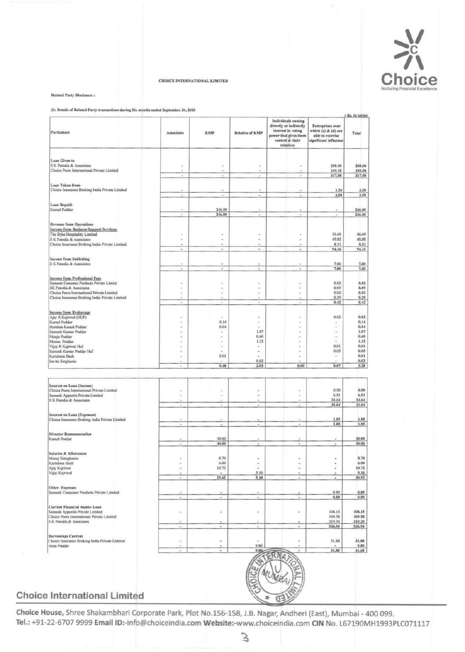

CHOICE INTERNATIONAL LIMITED

Related Party Disclosure:

(i): Details of Related Party transactions during Six months ended September 30, 2020

| Particulars                                                                                  | Associates | <b>KMP</b>       | <b>Relative of KMP</b>   | Individuals owning<br>directly or indirectly<br>interest in voting<br>power that gives them<br>control & their<br>relatives | Enterprises over<br>which (c) & (d) are<br>able to exercise<br>significant influence | Total            |
|----------------------------------------------------------------------------------------------|------------|------------------|--------------------------|-----------------------------------------------------------------------------------------------------------------------------|--------------------------------------------------------------------------------------|------------------|
| Loan Given to                                                                                |            |                  |                          |                                                                                                                             |                                                                                      |                  |
| S K Patodia & Associates                                                                     |            |                  |                          |                                                                                                                             | 208.00                                                                               | 208,00           |
| Choice Peers International Private Limited                                                   |            |                  |                          |                                                                                                                             | 109.58                                                                               | 109.58           |
|                                                                                              |            |                  |                          | ۰                                                                                                                           | 317.58                                                                               | 317.58           |
| Loan Taken from-                                                                             |            |                  |                          |                                                                                                                             |                                                                                      |                  |
| Choice Insurance Broking India Private Limited                                               |            |                  |                          |                                                                                                                             | 3.50                                                                                 | 3,50             |
|                                                                                              |            |                  | ٠                        | $\overline{a}$                                                                                                              | 3,50                                                                                 | 3.50             |
| Loan Repaid-                                                                                 |            |                  |                          |                                                                                                                             |                                                                                      |                  |
| Kamal Poddar                                                                                 |            | 246.00<br>246.00 |                          |                                                                                                                             |                                                                                      | 246.00           |
|                                                                                              |            |                  |                          | ٠                                                                                                                           |                                                                                      | 246,00           |
| <b>Revenue from Operations</b>                                                               |            |                  |                          |                                                                                                                             |                                                                                      |                  |
| Income from Business Support Services-                                                       |            |                  |                          | ٠                                                                                                                           | 36.60                                                                                | 36,60            |
| The Byke Hospitality Limited<br>S K Patodia & Associates                                     |            | ٠                |                          |                                                                                                                             | 49.05                                                                                | 49.05            |
| Choice Insurance Broking India Private Limited                                               |            |                  |                          |                                                                                                                             | 8.51                                                                                 | 8.51             |
|                                                                                              |            | ÷                | $\scriptstyle\rm{a}$     | ٠                                                                                                                           | 94.16                                                                                | 94.16            |
| <b>Income from Subletting</b>                                                                |            |                  |                          |                                                                                                                             |                                                                                      |                  |
| S K Patodia & Associates                                                                     |            |                  |                          |                                                                                                                             | 7.80                                                                                 | 7,80             |
|                                                                                              | ÷          | ٠                | ۰                        | ٠                                                                                                                           | 7,80                                                                                 | 7,80             |
| <b>Income from Professional Fees</b>                                                         |            |                  |                          |                                                                                                                             |                                                                                      |                  |
| Samank Conumer Products Private Limite                                                       |            | ×                |                          | ٠                                                                                                                           | 0.02                                                                                 | 0.02             |
| SK Patodia & Associates                                                                      |            | ٠                | ×                        | u                                                                                                                           | 0.09                                                                                 | 0.09             |
| Choice Peers International Private Limited<br>Choice Insurance Broking India Private Limited |            | ٠                | $\tilde{\phantom{a}}$    | ٠                                                                                                                           | 0.02<br>0.29                                                                         | 0.02<br>0.29     |
|                                                                                              | ÷          | ٠                | ÷                        | ×                                                                                                                           | 0.42                                                                                 | 0.42             |
|                                                                                              |            |                  |                          |                                                                                                                             |                                                                                      |                  |
| <b>Income from Brokerage</b><br>Ajay R Kejriwal (HUF)                                        |            |                  | ٠                        |                                                                                                                             | 0.02                                                                                 | 0.02             |
| Kamal Poddar                                                                                 |            | 0.14             | ٠                        |                                                                                                                             | $\overline{\phantom{a}}$                                                             | 0.14             |
| Hemlata Kamal Poddar                                                                         |            | 0.04             |                          |                                                                                                                             | ٠                                                                                    | 0.04             |
| Santosh Kumar Poddar<br>Manju Poddar                                                         |            | ù,<br>×          | 1.07<br>0,60             |                                                                                                                             | $\omega$<br>۰                                                                        | 1.07<br>0.60     |
| Meenu Poddar                                                                                 |            |                  | 1.32                     |                                                                                                                             |                                                                                      | 1.32             |
| Vijay R Kejriwal Huf                                                                         |            | w                | ٠                        |                                                                                                                             | 0.01                                                                                 | 0.01             |
| Santosh Kumar Poddar Huf<br>Karishma Shah                                                    |            | 0.01             | ٠                        |                                                                                                                             | 0.05<br>٠                                                                            | 0.05<br>0.01     |
| Savita Singhania                                                                             |            |                  | 0.02                     |                                                                                                                             |                                                                                      | 0.02             |
|                                                                                              |            | 0.18             | 3.02                     | 0.00                                                                                                                        | 0.07                                                                                 | 3.28             |
| Interest on Loan (Income)<br>Choice Peers International Private Limited                      |            | ä,               | ٠                        |                                                                                                                             | 0.50                                                                                 | 0,50             |
| Samank Apparels Private Limited                                                              |            | ٠                | ٠                        |                                                                                                                             | 6.51                                                                                 | 6,51             |
| S K Patodia & Associates                                                                     |            |                  | $\overline{\phantom{a}}$ |                                                                                                                             | 24.64                                                                                | 24.64            |
|                                                                                              | ٠          |                  |                          | $\qquad \qquad \blacksquare$                                                                                                | 31.64                                                                                | 31.64            |
| Interest on Loan (Expenses)                                                                  |            |                  |                          |                                                                                                                             |                                                                                      |                  |
| Choice Insurance Broking India Private Limited                                               |            | ٠                |                          | $\frac{1}{2}$                                                                                                               | 1.85<br>1.85                                                                         | 1.85<br>1.85     |
|                                                                                              |            |                  |                          |                                                                                                                             |                                                                                      |                  |
| Director Remmuneration                                                                       |            |                  |                          |                                                                                                                             |                                                                                      |                  |
| Kamal Poddar                                                                                 | ×          | 30.00<br>30.00   | ۰                        | $\bullet$                                                                                                                   | $\blacksquare$                                                                       | 30,00<br>30,00   |
|                                                                                              |            |                  |                          |                                                                                                                             |                                                                                      |                  |
| Salaries & Allowances                                                                        |            |                  |                          |                                                                                                                             |                                                                                      |                  |
| Manoj Sinnghania<br>Karishma Shah                                                            |            | 8.70<br>6.00     | ٠<br>٠                   |                                                                                                                             | ٠                                                                                    | 8,70<br>6,00     |
| Ajay Kejriwal                                                                                |            | 10.72            |                          | ٠                                                                                                                           | ä                                                                                    | 10.72            |
| Vijay Kejriwal                                                                               |            |                  | 5.10                     |                                                                                                                             |                                                                                      | 5.10             |
|                                                                                              | ÷          | 25.42            | 5,10                     | $\overline{\phantom{a}}$                                                                                                    | ۰                                                                                    | 30.52            |
| Other Expenses                                                                               |            |                  |                          |                                                                                                                             |                                                                                      |                  |
| Samank Consumer Products Private Limited                                                     |            |                  |                          |                                                                                                                             | 0.89                                                                                 | 0,89             |
|                                                                                              | ۰          | ÷                | $\overline{\phantom{a}}$ | ×                                                                                                                           | 0.89                                                                                 | 0.89             |
| Current Financial Assets-Loan                                                                |            |                  |                          |                                                                                                                             |                                                                                      |                  |
| Samank Apparels Private Limited                                                              |            | ٠                | ٠                        | $\blacksquare$                                                                                                              | 108.15<br>109.58                                                                     | 108,15<br>109.58 |
| Choice Peers International Private Limited<br>S K Patodia & Associates                       |            |                  |                          |                                                                                                                             | 319.20                                                                               | 319.20           |
|                                                                                              | ٠          | ٠                | $\overline{\phantom{a}}$ | $\bullet$                                                                                                                   | 536.94                                                                               | 536.94           |
|                                                                                              |            |                  |                          |                                                                                                                             |                                                                                      |                  |
| <b>Borrowings Current</b><br>Choice Insurance Broking India Private Limited                  |            | ×                |                          | ۰                                                                                                                           | 31.88                                                                                | 31.88            |
| Arun Poddar                                                                                  |            |                  | 9.80                     |                                                                                                                             |                                                                                      | 9,80             |
|                                                                                              |            | ٠                | 9.80                     | ٠                                                                                                                           | 31.88                                                                                | 41.68            |
|                                                                                              |            |                  |                          |                                                                                                                             |                                                                                      |                  |
|                                                                                              |            |                  |                          |                                                                                                                             |                                                                                      |                  |
| e International Limited                                                                      |            |                  |                          |                                                                                                                             |                                                                                      |                  |

# **Choice International Limited**

Choice House, Shree Shakambhari Corporate Park, Plot No.156-158, J.B. Nagar, Andheri (East), Mumbai - 400 099. Tel.: +91-22-6707 9999 Email ID:-info@choiceindia.com Website:-www.choiceindia.com CIN No. L67190MH1993PLC071117